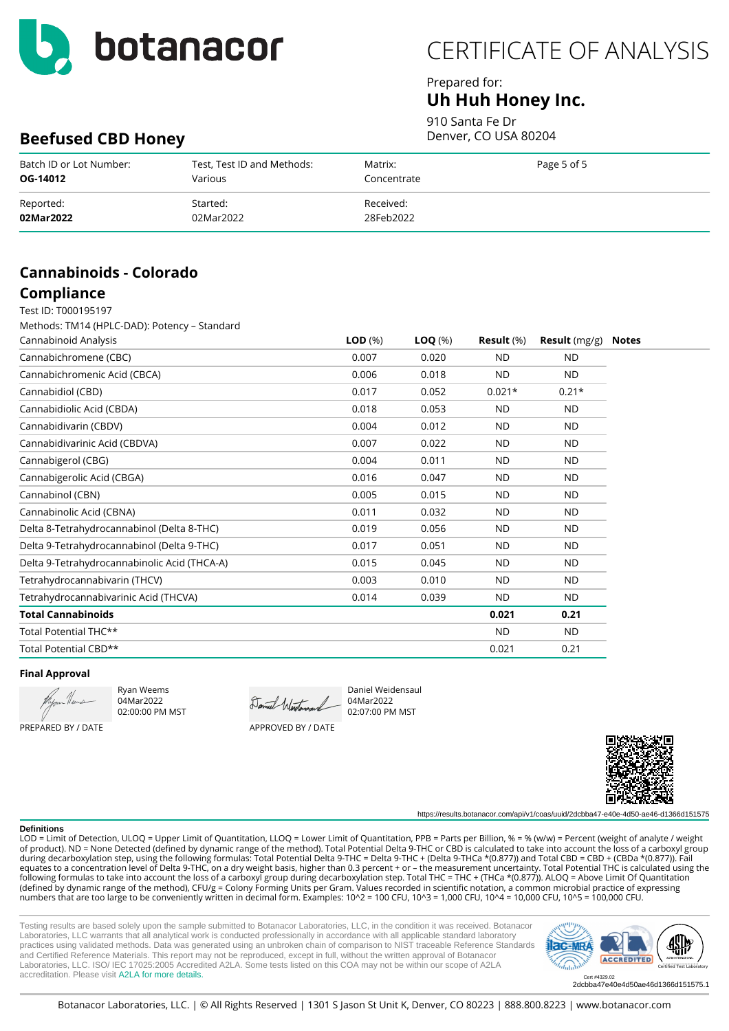

### Prepared for: **Uh Huh Honey Inc.**

910 Santa Fe Dr Denver, CO USA 80204

## **Beefused CBD Honey**

| Batch ID or Lot Number: | Test, Test ID and Methods: | Matrix:     | Page 5 of 5 |
|-------------------------|----------------------------|-------------|-------------|
| OG-14012                | Various                    | Concentrate |             |
| Reported:               | Started:                   | Received:   |             |
| 02Mar2022               | 02Mar2022                  | 28Feb2022   |             |

# **Cannabinoids - Colorado**

#### **Compliance** Test ID: T000195197

Methods: TM14 (HPLC-DAD): Potency – Standard

| Cannabinoid Analysis                         | LOD <sub>(%)</sub> | $LOQ(\%)$ | Result $(\%)$ | <b>Result</b> (mg/g) | Notes |
|----------------------------------------------|--------------------|-----------|---------------|----------------------|-------|
| Cannabichromene (CBC)                        | 0.007              | 0.020     | <b>ND</b>     | <b>ND</b>            |       |
| Cannabichromenic Acid (CBCA)                 | 0.006              | 0.018     | <b>ND</b>     | <b>ND</b>            |       |
| Cannabidiol (CBD)                            | 0.017              | 0.052     | $0.021*$      | $0.21*$              |       |
| Cannabidiolic Acid (CBDA)                    | 0.018              | 0.053     | <b>ND</b>     | <b>ND</b>            |       |
| Cannabidivarin (CBDV)                        | 0.004              | 0.012     | <b>ND</b>     | <b>ND</b>            |       |
| Cannabidivarinic Acid (CBDVA)                | 0.007              | 0.022     | <b>ND</b>     | <b>ND</b>            |       |
| Cannabigerol (CBG)                           | 0.004              | 0.011     | <b>ND</b>     | <b>ND</b>            |       |
| Cannabigerolic Acid (CBGA)                   | 0.016              | 0.047     | <b>ND</b>     | ND.                  |       |
| Cannabinol (CBN)                             | 0.005              | 0.015     | <b>ND</b>     | <b>ND</b>            |       |
| Cannabinolic Acid (CBNA)                     | 0.011              | 0.032     | <b>ND</b>     | <b>ND</b>            |       |
| Delta 8-Tetrahydrocannabinol (Delta 8-THC)   | 0.019              | 0.056     | <b>ND</b>     | <b>ND</b>            |       |
| Delta 9-Tetrahydrocannabinol (Delta 9-THC)   | 0.017              | 0.051     | <b>ND</b>     | <b>ND</b>            |       |
| Delta 9-Tetrahydrocannabinolic Acid (THCA-A) | 0.015              | 0.045     | <b>ND</b>     | <b>ND</b>            |       |
| Tetrahydrocannabivarin (THCV)                | 0.003              | 0.010     | <b>ND</b>     | <b>ND</b>            |       |
| Tetrahydrocannabivarinic Acid (THCVA)        | 0.014              | 0.039     | <b>ND</b>     | <b>ND</b>            |       |
| <b>Total Cannabinoids</b>                    |                    |           | 0.021         | 0.21                 |       |
| Total Potential THC**                        |                    |           | <b>ND</b>     | <b>ND</b>            |       |
| Total Potential CBD**                        |                    |           | 0.021         | 0.21                 |       |

#### **Final Approval**

PREPARED BY / DATE

Ryan Weems 04Mar2022 02:00:00 PM MST

Daniel Westers 04Mar2022

02:07:00 PM MST

APPROVED BY / DATE



**Definitions**

https://results.botanacor.com/api/v1/coas/uuid/2dcbba47-e40e-4d50-ae46-d1366d151575

LOD = Limit of Detection, ULOQ = Upper Limit of Quantitation, LLOQ = Lower Limit of Quantitation, PPB = Parts per Billion, % = % (w/w) = Percent (weight of analyte / weight of product). ND = None Detected (defined by dynamic range of the method). Total Potential Delta 9-THC or CBD is calculated to take into account the loss of a carboxyl group during decarboxylation step, using the following formulas: Total Potential Delta 9-THC = Delta 9-THC + (Delta 9-THCa \*(0.877)) and Total CBD = CBD + (CBDa \*(0.877)). Fail equates to a concentration level of Delta 9-THC, on a dry weight basis, higher than 0.3 percent + or – the measurement uncertainty. Total Potential THC is calculated using the following formulas to take into account the loss of a carboxyl group during decarboxylation step. Total THC = THC + (THCa \*(0.877)). ALOQ = Above Limit Of Quantitation (defined by dynamic range of the method), CFU/g = Colony Forming Units per Gram. Values recorded in scientific notation, a common microbial practice of expressing numbers that are too large to be conveniently written in decimal form. Examples: 10^2 = 100 CFU, 10^3 = 1,000 CFU, 10^4 = 10,000 CFU, 10^5 = 100,000 CFU.

Daniel Weidensaul

Testing results are based solely upon the sample submitted to Botanacor Laboratories, LLC, in the condition it was received. Botanacor Laboratories, LLC warrants that all analytical work is conducted professionally in accordance with all applicable standard laboratory practices using validated methods. Data was generated using an unbroken chain of comparison to NIST traceable Reference Standards and Certified Reference Materials. This report may not be reproduced, except in full, without the written approval of Botanacor Laboratories, LLC. ISO/ IEC 17025:2005 Accredited A2LA. Some tests listed on this COA may not be within our scope of A2LA accreditation. Please visit [A2LA for more details.](https://customer.a2la.org/index.cfm?event=directory.detail&labPID=2B1E6818-FC3D-4C8E-9B2F-A9718DA00282)



2dcbba47e40e4d50ae46d1366d151575.1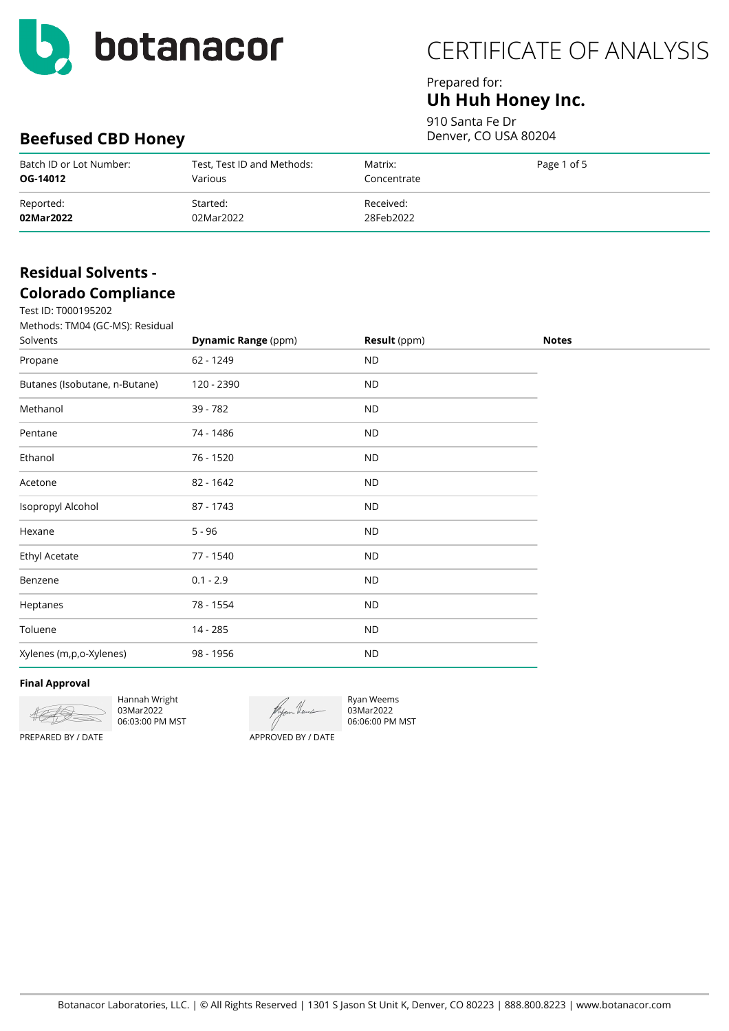

## Prepared for: **Uh Huh Honey Inc.**

910 Santa Fe Dr Denver, CO USA 80204

# **Beefused CBD Honey**

| Batch ID or Lot Number: | Test, Test ID and Methods: | Matrix:     | Page 1 of 5 |
|-------------------------|----------------------------|-------------|-------------|
| OG-14012                | Various                    | Concentrate |             |
| Reported:               | Started:                   | Received:   |             |
| 02Mar2022               | 02Mar2022                  | 28Feb2022   |             |

## **Residual Solvents - Colorado Compliance**

| Test ID: T000195202                         |                            |              |              |
|---------------------------------------------|----------------------------|--------------|--------------|
| Methods: TM04 (GC-MS): Residual<br>Solvents | <b>Dynamic Range (ppm)</b> | Result (ppm) | <b>Notes</b> |
| Propane                                     | 62 - 1249                  | <b>ND</b>    |              |
| Butanes (Isobutane, n-Butane)               | 120 - 2390                 | <b>ND</b>    |              |
| Methanol                                    | 39 - 782                   | <b>ND</b>    |              |
| Pentane                                     | 74 - 1486                  | <b>ND</b>    |              |
| Ethanol                                     | 76 - 1520                  | <b>ND</b>    |              |
| Acetone                                     | 82 - 1642                  | <b>ND</b>    |              |
| Isopropyl Alcohol                           | 87 - 1743                  | <b>ND</b>    |              |
| Hexane                                      | $5 - 96$                   | <b>ND</b>    |              |
| <b>Ethyl Acetate</b>                        | 77 - 1540                  | <b>ND</b>    |              |
| Benzene                                     | $0.1 - 2.9$                | <b>ND</b>    |              |
| Heptanes                                    | 78 - 1554                  | <b>ND</b>    |              |
| Toluene                                     | 14 - 285                   | <b>ND</b>    |              |
| Xylenes (m,p,o-Xylenes)                     | 98 - 1956                  | <b>ND</b>    |              |
|                                             |                            |              |              |

#### **Final Approval**



Hannah Wright 03Mar2022 06:03:00 PM MST

Ryan Weems 03Mar2022 06:06:00 PM MST

PREPARED BY / DATE

APPROVED BY / DATE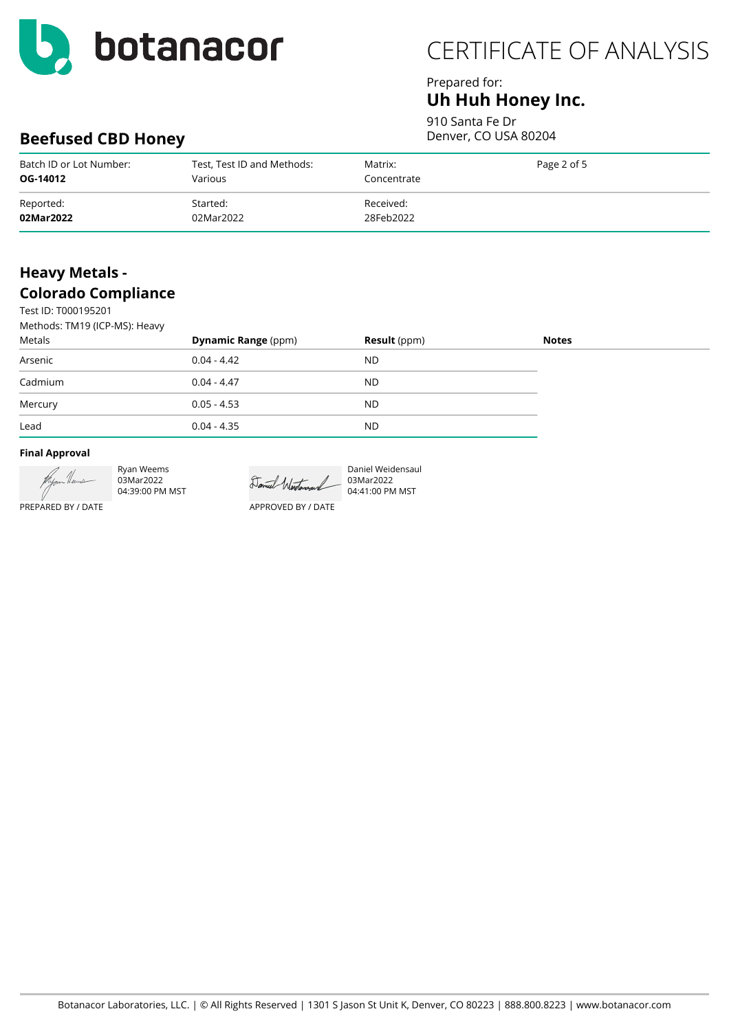

### Prepared for: **Uh Huh Honey Inc.**

910 Santa Fe Dr Denver, CO USA 80204

# **Beefused CBD Honey**

| Batch ID or Lot Number: | Test, Test ID and Methods: | Matrix:     | Page 2 of 5 |
|-------------------------|----------------------------|-------------|-------------|
| OG-14012                | Various                    | Concentrate |             |
| Reported:               | Started:                   | Received:   |             |
| 02Mar2022               | 02Mar2022                  | 28Feb2022   |             |

## **Heavy Metals - Colorado Compliance**

Test ID: T000195201  $M_{\odot}$  TM14 (ICP-MC): H

| Methods: TMT9 (ICP-MS): Heavy |                            |                     |              |
|-------------------------------|----------------------------|---------------------|--------------|
| Metals                        | <b>Dynamic Range (ppm)</b> | <b>Result</b> (ppm) | <b>Notes</b> |
| Arsenic                       | $0.04 - 4.42$              | <b>ND</b>           |              |
| Cadmium                       | $0.04 - 4.47$              | <b>ND</b>           |              |
| Mercury                       | $0.05 - 4.53$              | <b>ND</b>           |              |
| Lead                          | $0.04 - 4.35$              | <b>ND</b>           |              |

#### **Final Approval**



Ryan Weems 03Mar2022 04:39:00 PM MST

Daniel Westerand 03Mar2022

APPROVED BY / DATE

Daniel Weidensaul 04:41:00 PM MST

PREPARED BY / DATE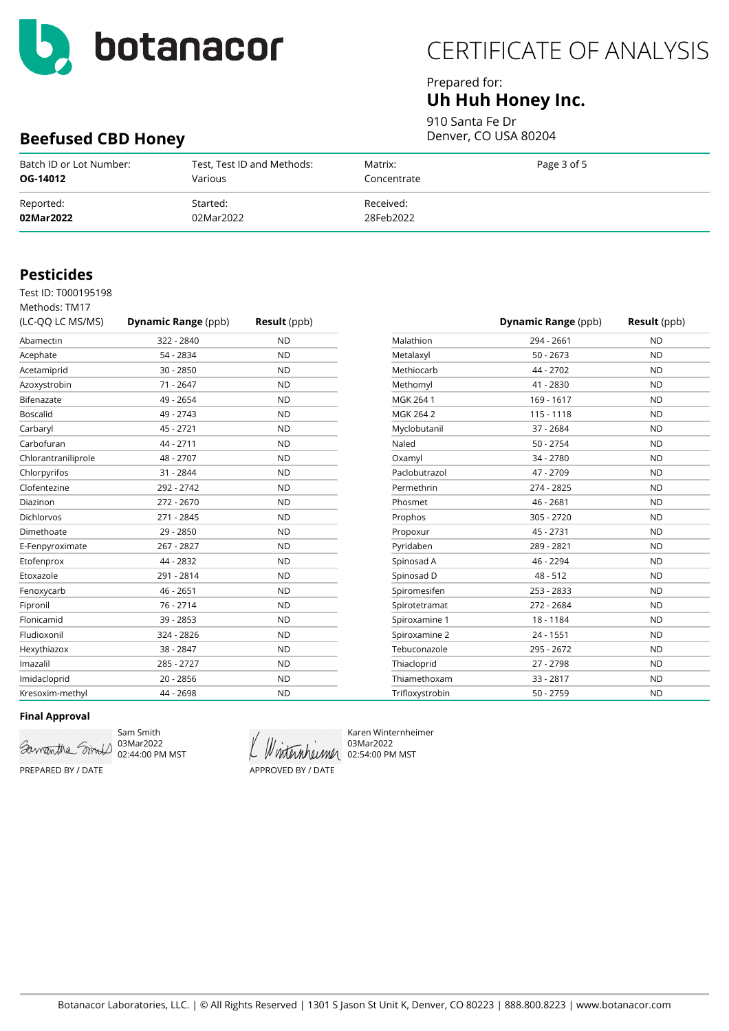

**Beefused CBD Honey**

# CERTIFICATE OF ANALYSIS

### Prepared for: **Uh Huh Honey Inc.**

910 Santa Fe Dr

Denver, CO USA 80204

| Batch ID or Lot Number:<br>OG-14012 | Test, Test ID and Methods:<br>Various | Matrix:<br>Concentrate | Page 3 of 5 |  |
|-------------------------------------|---------------------------------------|------------------------|-------------|--|
| Reported:<br>02Mar2022              | Started:<br>02Mar2022                 | Received:<br>28Feb2022 |             |  |

### **Pesticides**

Test ID: T000195198

| Methods: TM17       |                            |                     |
|---------------------|----------------------------|---------------------|
| (LC-QQ LC MS/MS)    | <b>Dynamic Range (ppb)</b> | <b>Result</b> (ppb) |
| Abamectin           | 322 - 2840                 | <b>ND</b>           |
| Acephate            | 54 - 2834                  | <b>ND</b>           |
| Acetamiprid         | $30 - 2850$                | <b>ND</b>           |
| Azoxystrobin        | 71 - 2647                  | <b>ND</b>           |
| Bifenazate          | 49 - 2654                  | <b>ND</b>           |
| <b>Boscalid</b>     | 49 - 2743                  | <b>ND</b>           |
| Carbaryl            | 45 - 2721                  | <b>ND</b>           |
| Carbofuran          | 44 - 2711                  | <b>ND</b>           |
| Chlorantraniliprole | 48 - 2707                  | <b>ND</b>           |
| Chlorpyrifos        | 31 - 2844                  | <b>ND</b>           |
| Clofentezine        | 292 - 2742                 | <b>ND</b>           |
| Diazinon            | 272 - 2670                 | <b>ND</b>           |
| <b>Dichlorvos</b>   | 271 - 2845                 | <b>ND</b>           |
| Dimethoate          | 29 - 2850                  | <b>ND</b>           |
| E-Fenpyroximate     | 267 - 2827                 | <b>ND</b>           |
| Etofenprox          | 44 - 2832                  | <b>ND</b>           |
| Etoxazole           | 291 - 2814                 | <b>ND</b>           |
| Fenoxycarb          | $46 - 2651$                | <b>ND</b>           |
| Fipronil            | 76 - 2714                  | <b>ND</b>           |
| Flonicamid          | 39 - 2853                  | <b>ND</b>           |
| Fludioxonil         | 324 - 2826                 | <b>ND</b>           |
| Hexythiazox         | 38 - 2847                  | <b>ND</b>           |
| Imazalil            | 285 - 2727                 | <b>ND</b>           |
| Imidacloprid        | $20 - 2856$                | <b>ND</b>           |
| Kresoxim-methyl     | 44 - 2698                  | <b>ND</b>           |

|                 | Dynamic Range (ppb) | <b>Result</b> (ppb) |
|-----------------|---------------------|---------------------|
| Malathion       | 294 - 2661          | <b>ND</b>           |
| Metalaxyl       | $50 - 2673$         | <b>ND</b>           |
| Methiocarb      | 44 - 2702           | <b>ND</b>           |
| Methomyl        | 41 - 2830           | <b>ND</b>           |
| MGK 264 1       | 169 - 1617          | <b>ND</b>           |
| MGK 264 2       | 115 - 1118          | <b>ND</b>           |
| Myclobutanil    | 37 - 2684           | <b>ND</b>           |
| Naled           | $50 - 2754$         | <b>ND</b>           |
| Oxamyl          | 34 - 2780           | <b>ND</b>           |
| Paclobutrazol   | 47 - 2709           | <b>ND</b>           |
| Permethrin      | 274 - 2825          | <b>ND</b>           |
| Phosmet         | 46 - 2681           | <b>ND</b>           |
| Prophos         | 305 - 2720          | <b>ND</b>           |
| Propoxur        | 45 - 2731           | <b>ND</b>           |
| Pyridaben       | 289 - 2821          | <b>ND</b>           |
| Spinosad A      | 46 - 2294           | <b>ND</b>           |
| Spinosad D      | $48 - 512$          | <b>ND</b>           |
| Spiromesifen    | 253 - 2833          | <b>ND</b>           |
| Spirotetramat   | 272 - 2684          | <b>ND</b>           |
| Spiroxamine 1   | 18 - 1184           | <b>ND</b>           |
| Spiroxamine 2   | $24 - 1551$         | <b>ND</b>           |
| Tebuconazole    | 295 - 2672          | <b>ND</b>           |
| Thiacloprid     | 27 - 2798           | <b>ND</b>           |
| Thiamethoxam    | 33 - 2817           | <b>ND</b>           |
| Trifloxystrobin | 50 - 2759           | <b>ND</b>           |

#### **Final Approval**



Sam Smith 02:44:00 PM MST

APPROVED BY / DATE

Karen Winternheimer 03Mar2022 Winternheimer 02:54:00 PM MST

PREPARED BY / DATE